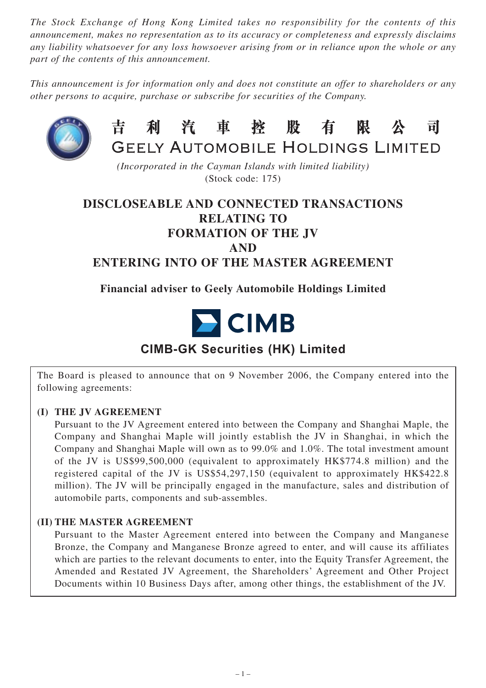*The Stock Exchange of Hong Kong Limited takes no responsibility for the contents of this announcement, makes no representation as to its accuracy or completeness and expressly disclaims any liability whatsoever for any loss howsoever arising from or in reliance upon the whole or any part of the contents of this announcement.*

*This announcement is for information only and does not constitute an offer to shareholders or any other persons to acquire, purchase or subscribe for securities of the Company.*



#### 利汽車控股有 昔 限 公 司 GEELY AUTOMOBILE HOLDINGS LIMITED

*(Incorporated in the Cayman Islands with limited liability)* (Stock code: 175)

# **DISCLOSEABLE AND CONNECTED TRANSACTIONS RELATING TO FORMATION OF THE JV AND ENTERING INTO OF THE MASTER AGREEMENT**

# **Financial adviser to Geely Automobile Holdings Limited**



# **CIMB-GK Securities (HK) Limited**

The Board is pleased to announce that on 9 November 2006, the Company entered into the following agreements:

# **(I) THE JV AGREEMENT**

Pursuant to the JV Agreement entered into between the Company and Shanghai Maple, the Company and Shanghai Maple will jointly establish the JV in Shanghai, in which the Company and Shanghai Maple will own as to 99.0% and 1.0%. The total investment amount of the JV is US\$99,500,000 (equivalent to approximately HK\$774.8 million) and the registered capital of the JV is US\$54,297,150 (equivalent to approximately HK\$422.8 million). The JV will be principally engaged in the manufacture, sales and distribution of automobile parts, components and sub-assembles.

## **(II) THE MASTER AGREEMENT**

Pursuant to the Master Agreement entered into between the Company and Manganese Bronze, the Company and Manganese Bronze agreed to enter, and will cause its affiliates which are parties to the relevant documents to enter, into the Equity Transfer Agreement, the Amended and Restated JV Agreement, the Shareholders' Agreement and Other Project Documents within 10 Business Days after, among other things, the establishment of the JV.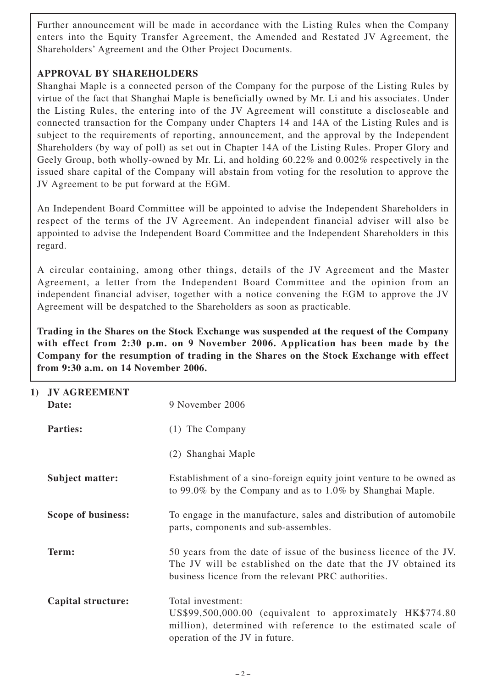Further announcement will be made in accordance with the Listing Rules when the Company enters into the Equity Transfer Agreement, the Amended and Restated JV Agreement, the Shareholders' Agreement and the Other Project Documents.

# **APPROVAL BY SHAREHOLDERS**

Shanghai Maple is a connected person of the Company for the purpose of the Listing Rules by virtue of the fact that Shanghai Maple is beneficially owned by Mr. Li and his associates. Under the Listing Rules, the entering into of the JV Agreement will constitute a discloseable and connected transaction for the Company under Chapters 14 and 14A of the Listing Rules and is subject to the requirements of reporting, announcement, and the approval by the Independent Shareholders (by way of poll) as set out in Chapter 14A of the Listing Rules. Proper Glory and Geely Group, both wholly-owned by Mr. Li, and holding 60.22% and 0.002% respectively in the issued share capital of the Company will abstain from voting for the resolution to approve the JV Agreement to be put forward at the EGM.

An Independent Board Committee will be appointed to advise the Independent Shareholders in respect of the terms of the JV Agreement. An independent financial adviser will also be appointed to advise the Independent Board Committee and the Independent Shareholders in this regard.

A circular containing, among other things, details of the JV Agreement and the Master Agreement, a letter from the Independent Board Committee and the opinion from an independent financial adviser, together with a notice convening the EGM to approve the JV Agreement will be despatched to the Shareholders as soon as practicable.

**Trading in the Shares on the Stock Exchange was suspended at the request of the Company with effect from 2:30 p.m. on 9 November 2006. Application has been made by the Company for the resumption of trading in the Shares on the Stock Exchange with effect from 9:30 a.m. on 14 November 2006.**

| 1) | <b>JV AGREEMENT</b><br>Date: | 9 November 2006                                                                                                                                                                              |
|----|------------------------------|----------------------------------------------------------------------------------------------------------------------------------------------------------------------------------------------|
|    | <b>Parties:</b>              | $(1)$ The Company                                                                                                                                                                            |
|    |                              | (2) Shanghai Maple                                                                                                                                                                           |
|    | <b>Subject matter:</b>       | Establishment of a sino-foreign equity joint venture to be owned as<br>to 99.0% by the Company and as to 1.0% by Shanghai Maple.                                                             |
|    | Scope of business:           | To engage in the manufacture, sales and distribution of automobile<br>parts, components and sub-assembles.                                                                                   |
|    | Term:                        | 50 years from the date of issue of the business licence of the JV.<br>The JV will be established on the date that the JV obtained its<br>business licence from the relevant PRC authorities. |
|    | Capital structure:           | Total investment:<br>US\$99,500,000.00 (equivalent to approximately HK\$774.80<br>million), determined with reference to the estimated scale of<br>operation of the JV in future.            |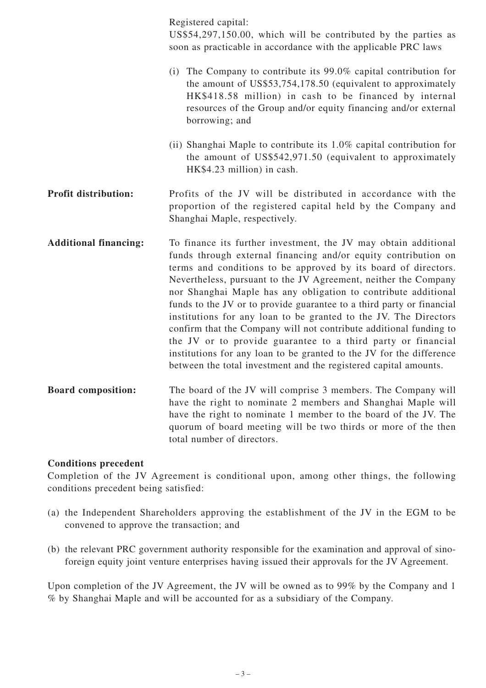|                              | Registered capital:<br>US\$54,297,150.00, which will be contributed by the parties as<br>soon as practicable in accordance with the applicable PRC laws                                                                                                                                                                                                                                                                                                                                                                                                                                                                                                                                                                                                                 |
|------------------------------|-------------------------------------------------------------------------------------------------------------------------------------------------------------------------------------------------------------------------------------------------------------------------------------------------------------------------------------------------------------------------------------------------------------------------------------------------------------------------------------------------------------------------------------------------------------------------------------------------------------------------------------------------------------------------------------------------------------------------------------------------------------------------|
|                              | (i) The Company to contribute its $99.0\%$ capital contribution for<br>the amount of US\$53,754,178.50 (equivalent to approximately<br>HK\$418.58 million) in cash to be financed by internal<br>resources of the Group and/or equity financing and/or external<br>borrowing; and                                                                                                                                                                                                                                                                                                                                                                                                                                                                                       |
|                              | (ii) Shanghai Maple to contribute its 1.0% capital contribution for<br>the amount of US\$542,971.50 (equivalent to approximately<br>HK\$4.23 million) in cash.                                                                                                                                                                                                                                                                                                                                                                                                                                                                                                                                                                                                          |
| <b>Profit distribution:</b>  | Profits of the JV will be distributed in accordance with the<br>proportion of the registered capital held by the Company and<br>Shanghai Maple, respectively.                                                                                                                                                                                                                                                                                                                                                                                                                                                                                                                                                                                                           |
| <b>Additional financing:</b> | To finance its further investment, the JV may obtain additional<br>funds through external financing and/or equity contribution on<br>terms and conditions to be approved by its board of directors.<br>Nevertheless, pursuant to the JV Agreement, neither the Company<br>nor Shanghai Maple has any obligation to contribute additional<br>funds to the JV or to provide guarantee to a third party or financial<br>institutions for any loan to be granted to the JV. The Directors<br>confirm that the Company will not contribute additional funding to<br>the JV or to provide guarantee to a third party or financial<br>institutions for any loan to be granted to the JV for the difference<br>between the total investment and the registered capital amounts. |
| <b>Board composition:</b>    | The board of the JV will comprise 3 members. The Company will<br>have the right to nominate 2 members and Shanghai Maple will<br>have the right to nominate 1 member to the board of the JV. The<br>quorum of board meeting will be two thirds or more of the then<br>total number of directors.                                                                                                                                                                                                                                                                                                                                                                                                                                                                        |

#### **Conditions precedent**

Completion of the JV Agreement is conditional upon, among other things, the following conditions precedent being satisfied:

- (a) the Independent Shareholders approving the establishment of the JV in the EGM to be convened to approve the transaction; and
- (b) the relevant PRC government authority responsible for the examination and approval of sinoforeign equity joint venture enterprises having issued their approvals for the JV Agreement.

Upon completion of the JV Agreement, the JV will be owned as to 99% by the Company and 1 % by Shanghai Maple and will be accounted for as a subsidiary of the Company.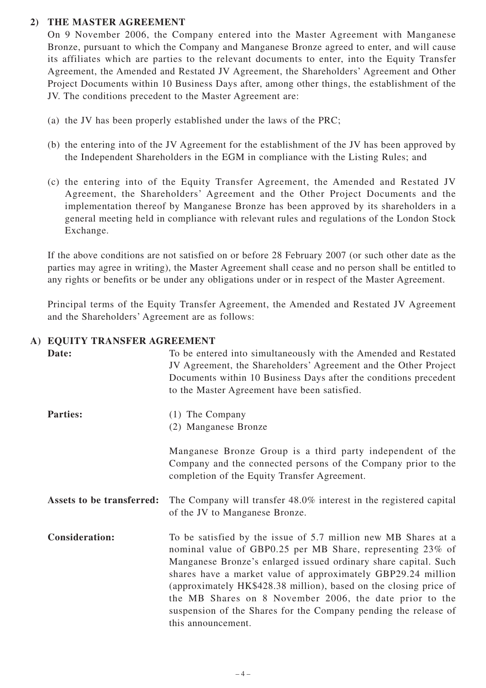# **2) THE MASTER AGREEMENT**

On 9 November 2006, the Company entered into the Master Agreement with Manganese Bronze, pursuant to which the Company and Manganese Bronze agreed to enter, and will cause its affiliates which are parties to the relevant documents to enter, into the Equity Transfer Agreement, the Amended and Restated JV Agreement, the Shareholders' Agreement and Other Project Documents within 10 Business Days after, among other things, the establishment of the JV. The conditions precedent to the Master Agreement are:

- (a) the JV has been properly established under the laws of the PRC;
- (b) the entering into of the JV Agreement for the establishment of the JV has been approved by the Independent Shareholders in the EGM in compliance with the Listing Rules; and
- (c) the entering into of the Equity Transfer Agreement, the Amended and Restated JV Agreement, the Shareholders' Agreement and the Other Project Documents and the implementation thereof by Manganese Bronze has been approved by its shareholders in a general meeting held in compliance with relevant rules and regulations of the London Stock Exchange.

If the above conditions are not satisfied on or before 28 February 2007 (or such other date as the parties may agree in writing), the Master Agreement shall cease and no person shall be entitled to any rights or benefits or be under any obligations under or in respect of the Master Agreement.

Principal terms of the Equity Transfer Agreement, the Amended and Restated JV Agreement and the Shareholders' Agreement are as follows:

# **A) EQUITY TRANSFER AGREEMENT**

| Date:                     | To be entered into simultaneously with the Amended and Restated<br>JV Agreement, the Shareholders' Agreement and the Other Project<br>Documents within 10 Business Days after the conditions precedent<br>to the Master Agreement have been satisfied.                                                                                                                                                                                                                                   |
|---------------------------|------------------------------------------------------------------------------------------------------------------------------------------------------------------------------------------------------------------------------------------------------------------------------------------------------------------------------------------------------------------------------------------------------------------------------------------------------------------------------------------|
| <b>Parties:</b>           | (1) The Company<br>(2) Manganese Bronze                                                                                                                                                                                                                                                                                                                                                                                                                                                  |
|                           | Manganese Bronze Group is a third party independent of the<br>Company and the connected persons of the Company prior to the<br>completion of the Equity Transfer Agreement.                                                                                                                                                                                                                                                                                                              |
| Assets to be transferred: | The Company will transfer 48.0% interest in the registered capital<br>of the JV to Manganese Bronze.                                                                                                                                                                                                                                                                                                                                                                                     |
| <b>Consideration:</b>     | To be satisfied by the issue of 5.7 million new MB Shares at a<br>nominal value of GBP0.25 per MB Share, representing 23% of<br>Manganese Bronze's enlarged issued ordinary share capital. Such<br>shares have a market value of approximately GBP29.24 million<br>(approximately HK\$428.38 million), based on the closing price of<br>the MB Shares on 8 November 2006, the date prior to the<br>suspension of the Shares for the Company pending the release of<br>this announcement. |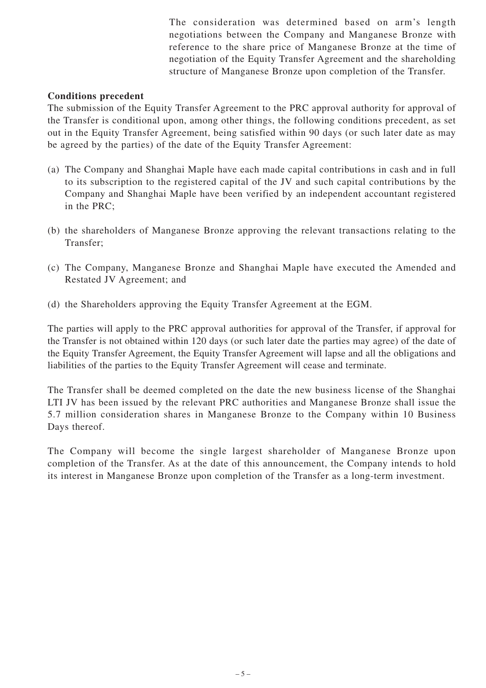The consideration was determined based on arm's length negotiations between the Company and Manganese Bronze with reference to the share price of Manganese Bronze at the time of negotiation of the Equity Transfer Agreement and the shareholding structure of Manganese Bronze upon completion of the Transfer.

## **Conditions precedent**

The submission of the Equity Transfer Agreement to the PRC approval authority for approval of the Transfer is conditional upon, among other things, the following conditions precedent, as set out in the Equity Transfer Agreement, being satisfied within 90 days (or such later date as may be agreed by the parties) of the date of the Equity Transfer Agreement:

- (a) The Company and Shanghai Maple have each made capital contributions in cash and in full to its subscription to the registered capital of the JV and such capital contributions by the Company and Shanghai Maple have been verified by an independent accountant registered in the PRC;
- (b) the shareholders of Manganese Bronze approving the relevant transactions relating to the Transfer;
- (c) The Company, Manganese Bronze and Shanghai Maple have executed the Amended and Restated JV Agreement; and
- (d) the Shareholders approving the Equity Transfer Agreement at the EGM.

The parties will apply to the PRC approval authorities for approval of the Transfer, if approval for the Transfer is not obtained within 120 days (or such later date the parties may agree) of the date of the Equity Transfer Agreement, the Equity Transfer Agreement will lapse and all the obligations and liabilities of the parties to the Equity Transfer Agreement will cease and terminate.

The Transfer shall be deemed completed on the date the new business license of the Shanghai LTI JV has been issued by the relevant PRC authorities and Manganese Bronze shall issue the 5.7 million consideration shares in Manganese Bronze to the Company within 10 Business Days thereof.

The Company will become the single largest shareholder of Manganese Bronze upon completion of the Transfer. As at the date of this announcement, the Company intends to hold its interest in Manganese Bronze upon completion of the Transfer as a long-term investment.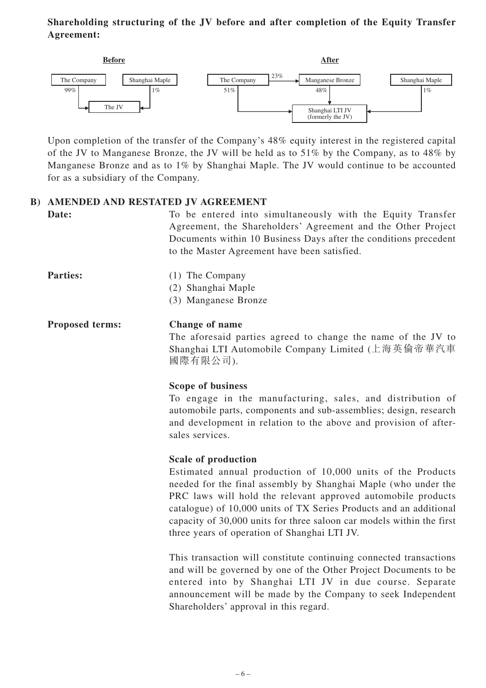# **Shareholding structuring of the JV before and after completion of the Equity Transfer Agreement:**



Upon completion of the transfer of the Company's 48% equity interest in the registered capital of the JV to Manganese Bronze, the JV will be held as to 51% by the Company, as to 48% by Manganese Bronze and as to 1% by Shanghai Maple. The JV would continue to be accounted for as a subsidiary of the Company.

# **B) AMENDED AND RESTATED JV AGREEMENT**

**Date:** To be entered into simultaneously with the Equity Transfer Agreement, the Shareholders' Agreement and the Other Project Documents within 10 Business Days after the conditions precedent to the Master Agreement have been satisfied.

- **Parties:** (1) The Company
	- (2) Shanghai Maple
	- (3) Manganese Bronze

#### **Proposed terms: Change of name**

The aforesaid parties agreed to change the name of the JV to Shanghai LTI Automobile Company Limited (上海英倫帝華汽車 國際有限公司).

#### **Scope of business**

To engage in the manufacturing, sales, and distribution of automobile parts, components and sub-assemblies; design, research and development in relation to the above and provision of aftersales services.

#### **Scale of production**

Estimated annual production of 10,000 units of the Products needed for the final assembly by Shanghai Maple (who under the PRC laws will hold the relevant approved automobile products catalogue) of 10,000 units of TX Series Products and an additional capacity of 30,000 units for three saloon car models within the first three years of operation of Shanghai LTI JV.

This transaction will constitute continuing connected transactions and will be governed by one of the Other Project Documents to be entered into by Shanghai LTI JV in due course. Separate announcement will be made by the Company to seek Independent Shareholders' approval in this regard.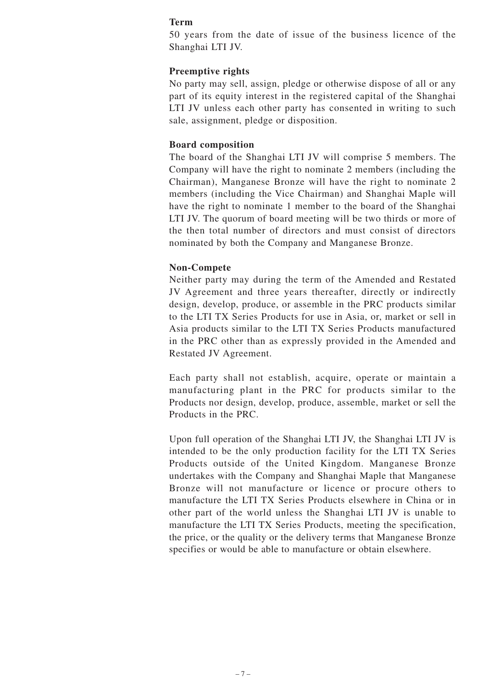#### **Term**

50 years from the date of issue of the business licence of the Shanghai LTI JV.

#### **Preemptive rights**

No party may sell, assign, pledge or otherwise dispose of all or any part of its equity interest in the registered capital of the Shanghai LTI JV unless each other party has consented in writing to such sale, assignment, pledge or disposition.

#### **Board composition**

The board of the Shanghai LTI JV will comprise 5 members. The Company will have the right to nominate 2 members (including the Chairman), Manganese Bronze will have the right to nominate 2 members (including the Vice Chairman) and Shanghai Maple will have the right to nominate 1 member to the board of the Shanghai LTI JV. The quorum of board meeting will be two thirds or more of the then total number of directors and must consist of directors nominated by both the Company and Manganese Bronze.

#### **Non-Compete**

Neither party may during the term of the Amended and Restated JV Agreement and three years thereafter, directly or indirectly design, develop, produce, or assemble in the PRC products similar to the LTI TX Series Products for use in Asia, or, market or sell in Asia products similar to the LTI TX Series Products manufactured in the PRC other than as expressly provided in the Amended and Restated JV Agreement.

Each party shall not establish, acquire, operate or maintain a manufacturing plant in the PRC for products similar to the Products nor design, develop, produce, assemble, market or sell the Products in the PRC.

Upon full operation of the Shanghai LTI JV, the Shanghai LTI JV is intended to be the only production facility for the LTI TX Series Products outside of the United Kingdom. Manganese Bronze undertakes with the Company and Shanghai Maple that Manganese Bronze will not manufacture or licence or procure others to manufacture the LTI TX Series Products elsewhere in China or in other part of the world unless the Shanghai LTI JV is unable to manufacture the LTI TX Series Products, meeting the specification, the price, or the quality or the delivery terms that Manganese Bronze specifies or would be able to manufacture or obtain elsewhere.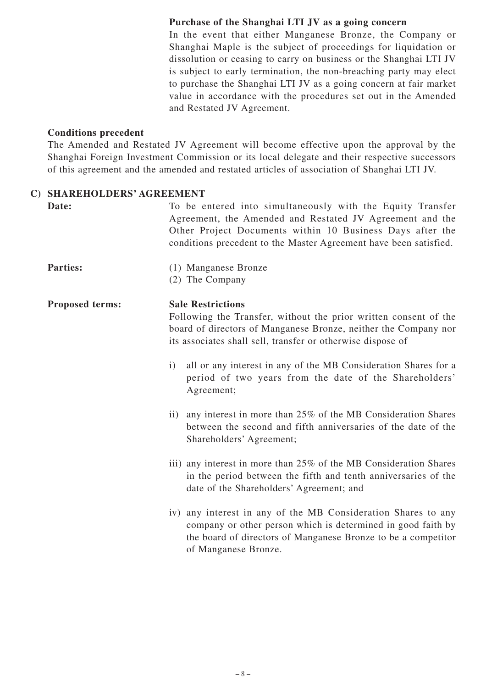### **Purchase of the Shanghai LTI JV as a going concern**

In the event that either Manganese Bronze, the Company or Shanghai Maple is the subject of proceedings for liquidation or dissolution or ceasing to carry on business or the Shanghai LTI JV is subject to early termination, the non-breaching party may elect to purchase the Shanghai LTI JV as a going concern at fair market value in accordance with the procedures set out in the Amended and Restated JV Agreement.

#### **Conditions precedent**

The Amended and Restated JV Agreement will become effective upon the approval by the Shanghai Foreign Investment Commission or its local delegate and their respective successors of this agreement and the amended and restated articles of association of Shanghai LTI JV.

#### **C) SHAREHOLDERS' AGREEMENT**

| Date:                  | To be entered into simultaneously with the Equity Transfer<br>Agreement, the Amended and Restated JV Agreement and the<br>Other Project Documents within 10 Business Days after the<br>conditions precedent to the Master Agreement have been satisfied. |
|------------------------|----------------------------------------------------------------------------------------------------------------------------------------------------------------------------------------------------------------------------------------------------------|
| <b>Parties:</b>        | (1) Manganese Bronze<br>(2) The Company                                                                                                                                                                                                                  |
| <b>Proposed terms:</b> | <b>Sale Restrictions</b><br>Following the Transfer, without the prior written consent of the<br>board of directors of Manganese Bronze, neither the Company nor<br>its associates shall sell, transfer or otherwise dispose of                           |
|                        | all or any interest in any of the MB Consideration Shares for a<br>i)<br>period of two years from the date of the Shareholders'<br>Agreement;                                                                                                            |
|                        | any interest in more than 25% of the MB Consideration Shares<br>$\rm ii)$<br>between the second and fifth anniversaries of the date of the<br>Shareholders' Agreement;                                                                                   |
|                        | iii) any interest in more than 25% of the MB Consideration Shares<br>in the period between the fifth and tenth anniversaries of the<br>date of the Shareholders' Agreement; and                                                                          |
|                        | iv) any interest in any of the MB Consideration Shares to any<br>company or other person which is determined in good faith by<br>the board of directors of Manganese Bronze to be a competitor<br>of Manganese Bronze.                                   |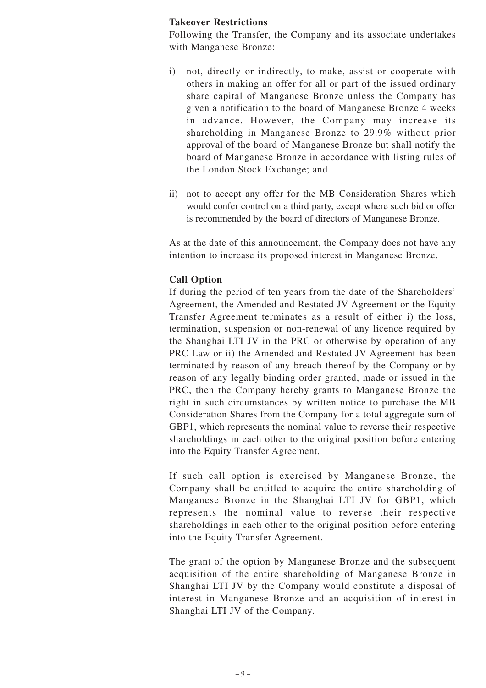### **Takeover Restrictions**

Following the Transfer, the Company and its associate undertakes with Manganese Bronze:

- i) not, directly or indirectly, to make, assist or cooperate with others in making an offer for all or part of the issued ordinary share capital of Manganese Bronze unless the Company has given a notification to the board of Manganese Bronze 4 weeks in advance. However, the Company may increase its shareholding in Manganese Bronze to 29.9% without prior approval of the board of Manganese Bronze but shall notify the board of Manganese Bronze in accordance with listing rules of the London Stock Exchange; and
- ii) not to accept any offer for the MB Consideration Shares which would confer control on a third party, except where such bid or offer is recommended by the board of directors of Manganese Bronze.

As at the date of this announcement, the Company does not have any intention to increase its proposed interest in Manganese Bronze.

#### **Call Option**

If during the period of ten years from the date of the Shareholders' Agreement, the Amended and Restated JV Agreement or the Equity Transfer Agreement terminates as a result of either i) the loss, termination, suspension or non-renewal of any licence required by the Shanghai LTI JV in the PRC or otherwise by operation of any PRC Law or ii) the Amended and Restated JV Agreement has been terminated by reason of any breach thereof by the Company or by reason of any legally binding order granted, made or issued in the PRC, then the Company hereby grants to Manganese Bronze the right in such circumstances by written notice to purchase the MB Consideration Shares from the Company for a total aggregate sum of GBP1, which represents the nominal value to reverse their respective shareholdings in each other to the original position before entering into the Equity Transfer Agreement.

If such call option is exercised by Manganese Bronze, the Company shall be entitled to acquire the entire shareholding of Manganese Bronze in the Shanghai LTI JV for GBP1, which represents the nominal value to reverse their respective shareholdings in each other to the original position before entering into the Equity Transfer Agreement.

The grant of the option by Manganese Bronze and the subsequent acquisition of the entire shareholding of Manganese Bronze in Shanghai LTI JV by the Company would constitute a disposal of interest in Manganese Bronze and an acquisition of interest in Shanghai LTI JV of the Company.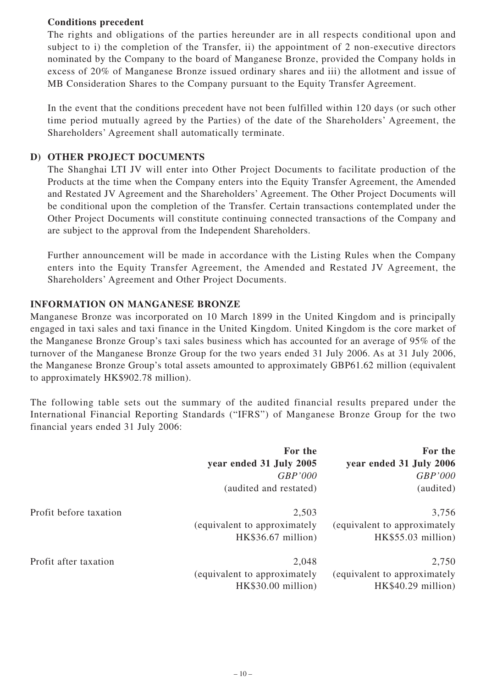## **Conditions precedent**

The rights and obligations of the parties hereunder are in all respects conditional upon and subject to i) the completion of the Transfer, ii) the appointment of 2 non-executive directors nominated by the Company to the board of Manganese Bronze, provided the Company holds in excess of 20% of Manganese Bronze issued ordinary shares and iii) the allotment and issue of MB Consideration Shares to the Company pursuant to the Equity Transfer Agreement.

In the event that the conditions precedent have not been fulfilled within 120 days (or such other time period mutually agreed by the Parties) of the date of the Shareholders' Agreement, the Shareholders' Agreement shall automatically terminate.

### **D) OTHER PROJECT DOCUMENTS**

The Shanghai LTI JV will enter into Other Project Documents to facilitate production of the Products at the time when the Company enters into the Equity Transfer Agreement, the Amended and Restated JV Agreement and the Shareholders' Agreement. The Other Project Documents will be conditional upon the completion of the Transfer. Certain transactions contemplated under the Other Project Documents will constitute continuing connected transactions of the Company and are subject to the approval from the Independent Shareholders.

Further announcement will be made in accordance with the Listing Rules when the Company enters into the Equity Transfer Agreement, the Amended and Restated JV Agreement, the Shareholders' Agreement and Other Project Documents.

#### **INFORMATION ON MANGANESE BRONZE**

Manganese Bronze was incorporated on 10 March 1899 in the United Kingdom and is principally engaged in taxi sales and taxi finance in the United Kingdom. United Kingdom is the core market of the Manganese Bronze Group's taxi sales business which has accounted for an average of 95% of the turnover of the Manganese Bronze Group for the two years ended 31 July 2006. As at 31 July 2006, the Manganese Bronze Group's total assets amounted to approximately GBP61.62 million (equivalent to approximately HK\$902.78 million).

The following table sets out the summary of the audited financial results prepared under the International Financial Reporting Standards ("IFRS") of Manganese Bronze Group for the two financial years ended 31 July 2006:

|                        | For the<br>year ended 31 July 2005<br>GBP'000<br>(audited and restated) | For the<br>year ended 31 July 2006<br>GBP'000<br>(audited)  |
|------------------------|-------------------------------------------------------------------------|-------------------------------------------------------------|
| Profit before taxation | 2,503<br>(equivalent to approximately<br>HK\$36.67 million)             | 3,756<br>(equivalent to approximately<br>HK\$55.03 million) |
| Profit after taxation  | 2,048<br>(equivalent to approximately<br>HK\$30.00 million)             | 2,750<br>(equivalent to approximately<br>HK\$40.29 million) |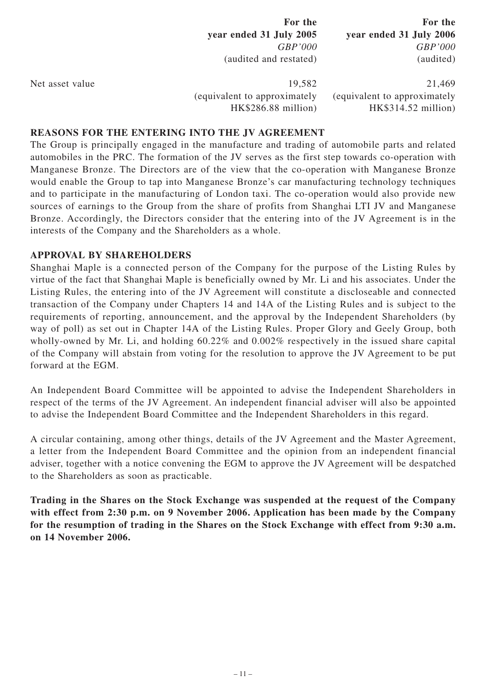|                 | For the<br>year ended 31 July 2005<br>GBP'000<br>(audited and restated) | For the<br>year ended 31 July 2006<br>GBP'000<br>(audited)    |
|-----------------|-------------------------------------------------------------------------|---------------------------------------------------------------|
| Net asset value | 19,582<br>(equivalent to approximately<br>HK\$286.88 million)           | 21,469<br>(equivalent to approximately<br>HK\$314.52 million) |

#### **REASONS FOR THE ENTERING INTO THE JV AGREEMENT**

The Group is principally engaged in the manufacture and trading of automobile parts and related automobiles in the PRC. The formation of the JV serves as the first step towards co-operation with Manganese Bronze. The Directors are of the view that the co-operation with Manganese Bronze would enable the Group to tap into Manganese Bronze's car manufacturing technology techniques and to participate in the manufacturing of London taxi. The co-operation would also provide new sources of earnings to the Group from the share of profits from Shanghai LTI JV and Manganese Bronze. Accordingly, the Directors consider that the entering into of the JV Agreement is in the interests of the Company and the Shareholders as a whole.

#### **APPROVAL BY SHAREHOLDERS**

Shanghai Maple is a connected person of the Company for the purpose of the Listing Rules by virtue of the fact that Shanghai Maple is beneficially owned by Mr. Li and his associates. Under the Listing Rules, the entering into of the JV Agreement will constitute a discloseable and connected transaction of the Company under Chapters 14 and 14A of the Listing Rules and is subject to the requirements of reporting, announcement, and the approval by the Independent Shareholders (by way of poll) as set out in Chapter 14A of the Listing Rules. Proper Glory and Geely Group, both wholly-owned by Mr. Li, and holding 60.22% and 0.002% respectively in the issued share capital of the Company will abstain from voting for the resolution to approve the JV Agreement to be put forward at the EGM.

An Independent Board Committee will be appointed to advise the Independent Shareholders in respect of the terms of the JV Agreement. An independent financial adviser will also be appointed to advise the Independent Board Committee and the Independent Shareholders in this regard.

A circular containing, among other things, details of the JV Agreement and the Master Agreement, a letter from the Independent Board Committee and the opinion from an independent financial adviser, together with a notice convening the EGM to approve the JV Agreement will be despatched to the Shareholders as soon as practicable.

**Trading in the Shares on the Stock Exchange was suspended at the request of the Company with effect from 2:30 p.m. on 9 November 2006. Application has been made by the Company for the resumption of trading in the Shares on the Stock Exchange with effect from 9:30 a.m. on 14 November 2006.**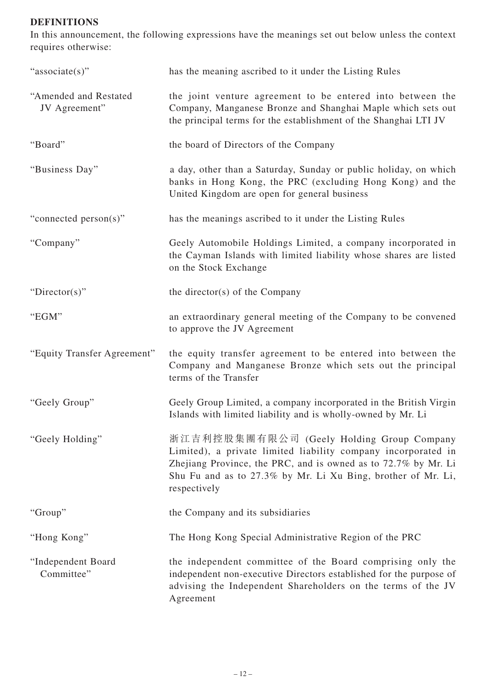# **DEFINITIONS**

In this announcement, the following expressions have the meanings set out below unless the context requires otherwise:

| "associate(s)"                         | has the meaning ascribed to it under the Listing Rules                                                                                                                                                                                                       |
|----------------------------------------|--------------------------------------------------------------------------------------------------------------------------------------------------------------------------------------------------------------------------------------------------------------|
| "Amended and Restated<br>JV Agreement" | the joint venture agreement to be entered into between the<br>Company, Manganese Bronze and Shanghai Maple which sets out<br>the principal terms for the establishment of the Shanghai LTI JV                                                                |
| "Board"                                | the board of Directors of the Company                                                                                                                                                                                                                        |
| "Business Day"                         | a day, other than a Saturday, Sunday or public holiday, on which<br>banks in Hong Kong, the PRC (excluding Hong Kong) and the<br>United Kingdom are open for general business                                                                                |
| "connected person(s)"                  | has the meanings ascribed to it under the Listing Rules                                                                                                                                                                                                      |
| "Company"                              | Geely Automobile Holdings Limited, a company incorporated in<br>the Cayman Islands with limited liability whose shares are listed<br>on the Stock Exchange                                                                                                   |
| "Director(s)"                          | the director(s) of the Company                                                                                                                                                                                                                               |
| "EGM"                                  | an extraordinary general meeting of the Company to be convened<br>to approve the JV Agreement                                                                                                                                                                |
| "Equity Transfer Agreement"            | the equity transfer agreement to be entered into between the<br>Company and Manganese Bronze which sets out the principal<br>terms of the Transfer                                                                                                           |
| "Geely Group"                          | Geely Group Limited, a company incorporated in the British Virgin<br>Islands with limited liability and is wholly-owned by Mr. Li                                                                                                                            |
| "Geely Holding"                        | 浙江吉利控股集團有限公司 (Geely Holding Group Company<br>Limited), a private limited liability company incorporated in<br>Zhejiang Province, the PRC, and is owned as to 72.7% by Mr. Li<br>Shu Fu and as to 27.3% by Mr. Li Xu Bing, brother of Mr. Li,<br>respectively |
| "Group"                                | the Company and its subsidiaries                                                                                                                                                                                                                             |
| "Hong Kong"                            | The Hong Kong Special Administrative Region of the PRC                                                                                                                                                                                                       |
| "Independent Board<br>Committee"       | the independent committee of the Board comprising only the<br>independent non-executive Directors established for the purpose of<br>advising the Independent Shareholders on the terms of the JV<br>Agreement                                                |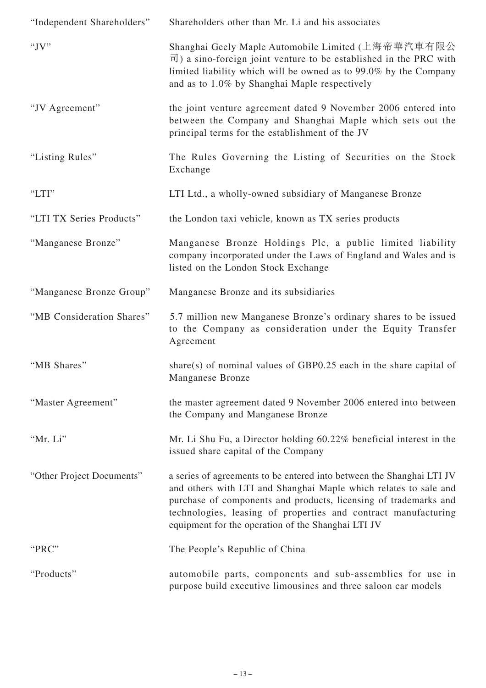| "Independent Shareholders" | Shareholders other than Mr. Li and his associates                                                                                                                                                                                                                                                                                     |
|----------------------------|---------------------------------------------------------------------------------------------------------------------------------------------------------------------------------------------------------------------------------------------------------------------------------------------------------------------------------------|
| "J $V$ "                   | Shanghai Geely Maple Automobile Limited (上海帝華汽車有限公<br>$\overrightarrow{\Pi}$ ) a sino-foreign joint venture to be established in the PRC with<br>limited liability which will be owned as to 99.0% by the Company<br>and as to 1.0% by Shanghai Maple respectively                                                                    |
| "JV Agreement"             | the joint venture agreement dated 9 November 2006 entered into<br>between the Company and Shanghai Maple which sets out the<br>principal terms for the establishment of the JV                                                                                                                                                        |
| "Listing Rules"            | The Rules Governing the Listing of Securities on the Stock<br>Exchange                                                                                                                                                                                                                                                                |
| "LTI"                      | LTI Ltd., a wholly-owned subsidiary of Manganese Bronze                                                                                                                                                                                                                                                                               |
| "LTI TX Series Products"   | the London taxi vehicle, known as TX series products                                                                                                                                                                                                                                                                                  |
| "Manganese Bronze"         | Manganese Bronze Holdings Plc, a public limited liability<br>company incorporated under the Laws of England and Wales and is<br>listed on the London Stock Exchange                                                                                                                                                                   |
| "Manganese Bronze Group"   | Manganese Bronze and its subsidiaries                                                                                                                                                                                                                                                                                                 |
| "MB Consideration Shares"  | 5.7 million new Manganese Bronze's ordinary shares to be issued<br>to the Company as consideration under the Equity Transfer<br>Agreement                                                                                                                                                                                             |
| "MB Shares"                | share(s) of nominal values of GBP0.25 each in the share capital of<br><b>Manganese Bronze</b>                                                                                                                                                                                                                                         |
| "Master Agreement"         | the master agreement dated 9 November 2006 entered into between<br>the Company and Manganese Bronze                                                                                                                                                                                                                                   |
| "Mr. Li"                   | Mr. Li Shu Fu, a Director holding 60.22% beneficial interest in the<br>issued share capital of the Company                                                                                                                                                                                                                            |
| "Other Project Documents"  | a series of agreements to be entered into between the Shanghai LTI JV<br>and others with LTI and Shanghai Maple which relates to sale and<br>purchase of components and products, licensing of trademarks and<br>technologies, leasing of properties and contract manufacturing<br>equipment for the operation of the Shanghai LTI JV |
| "PRC"                      | The People's Republic of China                                                                                                                                                                                                                                                                                                        |
| "Products"                 | automobile parts, components and sub-assemblies for use in<br>purpose build executive limousines and three saloon car models                                                                                                                                                                                                          |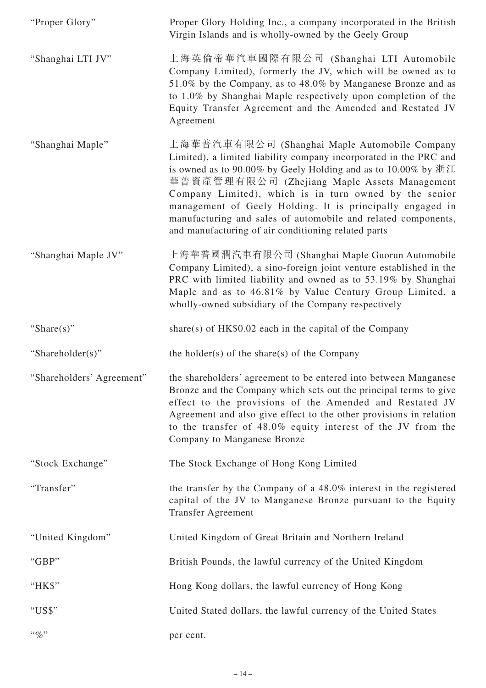| "Proper Glory"            | Proper Glory Holding Inc., a company incorporated in the British<br>Virgin Islands and is wholly-owned by the Geely Group                                                                                                                                                                                                                                                                                                                                                                       |
|---------------------------|-------------------------------------------------------------------------------------------------------------------------------------------------------------------------------------------------------------------------------------------------------------------------------------------------------------------------------------------------------------------------------------------------------------------------------------------------------------------------------------------------|
| "Shanghai LTI JV"         | 上海英倫帝華汽車國際有限公司 (Shanghai LTI Automobile<br>Company Limited), formerly the JV, which will be owned as to<br>51.0% by the Company, as to 48.0% by Manganese Bronze and as<br>to 1.0% by Shanghai Maple respectively upon completion of the<br>Equity Transfer Agreement and the Amended and Restated JV<br>Agreement                                                                                                                                                                              |
| "Shanghai Maple"          | 上海華普汽車有限公司 (Shanghai Maple Automobile Company<br>Limited), a limited liability company incorporated in the PRC and<br>is owned as to 90.00% by Geely Holding and as to 10.00% by $\frac{1}{2}$ .<br>華普資產管理有限公司 (Zhejiang Maple Assets Management<br>Company Limited), which is in turn owned by the senior<br>management of Geely Holding. It is principally engaged in<br>manufacturing and sales of automobile and related components,<br>and manufacturing of air conditioning related parts |
| "Shanghai Maple JV"       | 上海華普國潤汽車有限公司 (Shanghai Maple Guorun Automobile<br>Company Limited), a sino-foreign joint venture established in the<br>PRC with limited liability and owned as to 53.19% by Shanghai<br>Maple and as to 46.81% by Value Century Group Limited, a<br>wholly-owned subsidiary of the Company respectively                                                                                                                                                                                         |
| "Share $(s)$ "            | share(s) of $HK$0.02$ each in the capital of the Company                                                                                                                                                                                                                                                                                                                                                                                                                                        |
| "Shareholder(s)"          | the holder(s) of the share(s) of the Company                                                                                                                                                                                                                                                                                                                                                                                                                                                    |
| "Shareholders' Agreement" | the shareholders' agreement to be entered into between Manganese<br>Bronze and the Company which sets out the principal terms to give<br>effect to the provisions of the Amended and Restated JV<br>Agreement and also give effect to the other provisions in relation<br>to the transfer of 48.0% equity interest of the JV from the<br>Company to Manganese Bronze                                                                                                                            |
| "Stock Exchange"          | The Stock Exchange of Hong Kong Limited                                                                                                                                                                                                                                                                                                                                                                                                                                                         |
| "Transfer"                | the transfer by the Company of a 48.0% interest in the registered<br>capital of the JV to Manganese Bronze pursuant to the Equity<br><b>Transfer Agreement</b>                                                                                                                                                                                                                                                                                                                                  |
| "United Kingdom"          | United Kingdom of Great Britain and Northern Ireland                                                                                                                                                                                                                                                                                                                                                                                                                                            |
| "GBP"                     | British Pounds, the lawful currency of the United Kingdom                                                                                                                                                                                                                                                                                                                                                                                                                                       |
| "HK\$"                    | Hong Kong dollars, the lawful currency of Hong Kong                                                                                                                                                                                                                                                                                                                                                                                                                                             |
| "US\$"                    | United Stated dollars, the lawful currency of the United States                                                                                                                                                                                                                                                                                                                                                                                                                                 |
| $``\%"$                   | per cent.                                                                                                                                                                                                                                                                                                                                                                                                                                                                                       |